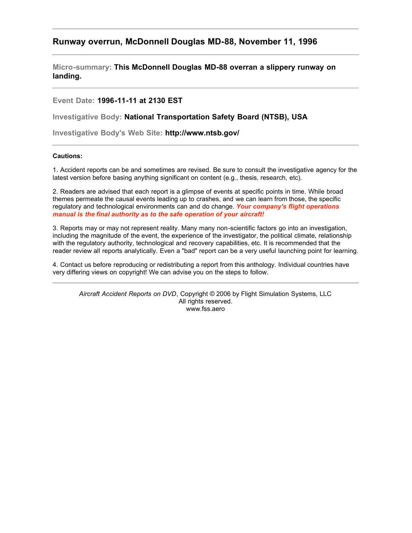## **Runway overrun, McDonnell Douglas MD-88, November 11, 1996**

**Micro-summary: This McDonnell Douglas MD-88 overran a slippery runway on landing.**

**Event Date: 1996-11-11 at 2130 EST**

**Investigative Body: National Transportation Safety Board (NTSB), USA**

**Investigative Body's Web Site: http://www.ntsb.gov/**

## **Cautions:**

1. Accident reports can be and sometimes are revised. Be sure to consult the investigative agency for the latest version before basing anything significant on content (e.g., thesis, research, etc).

2. Readers are advised that each report is a glimpse of events at specific points in time. While broad themes permeate the causal events leading up to crashes, and we can learn from those, the specific regulatory and technological environments can and do change. *Your company's flight operations manual is the final authority as to the safe operation of your aircraft!*

3. Reports may or may not represent reality. Many many non-scientific factors go into an investigation, including the magnitude of the event, the experience of the investigator, the political climate, relationship with the regulatory authority, technological and recovery capabilities, etc. It is recommended that the reader review all reports analytically. Even a "bad" report can be a very useful launching point for learning.

4. Contact us before reproducing or redistributing a report from this anthology. Individual countries have very differing views on copyright! We can advise you on the steps to follow.

*Aircraft Accident Reports on DVD*, Copyright © 2006 by Flight Simulation Systems, LLC All rights reserved. www.fss.aero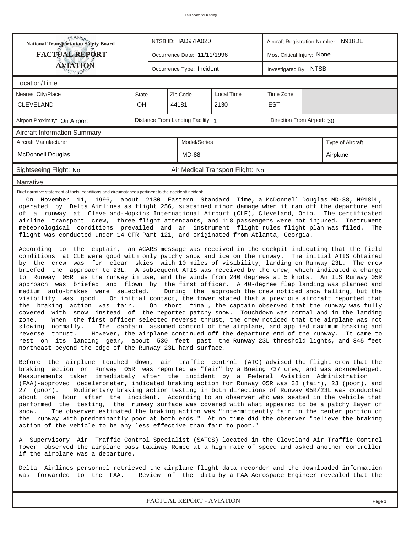| <b>National Transportation Safety Board</b><br>NTSB ID: IAD97IA020<br>Aircraft Registration Number: N918DL                                                                                                                                                                                                                                                                                                                                                                                                                                                                                                                                                                                                                                                                                                                                                                                                                                                                                                                                                                                                                                                                                                                                                                                                                                                                                                                                                                                                                                                                                                                                                                                                                                                                                          |              |  |                             |                                  |                            |                            |  |  |  |
|-----------------------------------------------------------------------------------------------------------------------------------------------------------------------------------------------------------------------------------------------------------------------------------------------------------------------------------------------------------------------------------------------------------------------------------------------------------------------------------------------------------------------------------------------------------------------------------------------------------------------------------------------------------------------------------------------------------------------------------------------------------------------------------------------------------------------------------------------------------------------------------------------------------------------------------------------------------------------------------------------------------------------------------------------------------------------------------------------------------------------------------------------------------------------------------------------------------------------------------------------------------------------------------------------------------------------------------------------------------------------------------------------------------------------------------------------------------------------------------------------------------------------------------------------------------------------------------------------------------------------------------------------------------------------------------------------------------------------------------------------------------------------------------------------------|--------------|--|-----------------------------|----------------------------------|----------------------------|----------------------------|--|--|--|
| <b>FACTUAL REPORT</b><br><b>AVIATION</b>                                                                                                                                                                                                                                                                                                                                                                                                                                                                                                                                                                                                                                                                                                                                                                                                                                                                                                                                                                                                                                                                                                                                                                                                                                                                                                                                                                                                                                                                                                                                                                                                                                                                                                                                                            |              |  | Occurrence Date: 11/11/1996 |                                  | Most Critical Injury: None |                            |  |  |  |
|                                                                                                                                                                                                                                                                                                                                                                                                                                                                                                                                                                                                                                                                                                                                                                                                                                                                                                                                                                                                                                                                                                                                                                                                                                                                                                                                                                                                                                                                                                                                                                                                                                                                                                                                                                                                     |              |  | Occurrence Type: Incident   |                                  | Investigated By: NTSB      |                            |  |  |  |
| Location/Time                                                                                                                                                                                                                                                                                                                                                                                                                                                                                                                                                                                                                                                                                                                                                                                                                                                                                                                                                                                                                                                                                                                                                                                                                                                                                                                                                                                                                                                                                                                                                                                                                                                                                                                                                                                       |              |  |                             |                                  |                            |                            |  |  |  |
| Nearest City/Place                                                                                                                                                                                                                                                                                                                                                                                                                                                                                                                                                                                                                                                                                                                                                                                                                                                                                                                                                                                                                                                                                                                                                                                                                                                                                                                                                                                                                                                                                                                                                                                                                                                                                                                                                                                  | <b>State</b> |  | Zip Code                    | Local Time                       | Time Zone                  |                            |  |  |  |
| <b>CLEVELAND</b>                                                                                                                                                                                                                                                                                                                                                                                                                                                                                                                                                                                                                                                                                                                                                                                                                                                                                                                                                                                                                                                                                                                                                                                                                                                                                                                                                                                                                                                                                                                                                                                                                                                                                                                                                                                    | OH           |  | 44181                       | 2130                             | <b>EST</b>                 |                            |  |  |  |
| Distance From Landing Facility: 1<br>Airport Proximity: On Airport                                                                                                                                                                                                                                                                                                                                                                                                                                                                                                                                                                                                                                                                                                                                                                                                                                                                                                                                                                                                                                                                                                                                                                                                                                                                                                                                                                                                                                                                                                                                                                                                                                                                                                                                  |              |  |                             |                                  |                            | Direction From Airport: 30 |  |  |  |
| <b>Aircraft Information Summary</b>                                                                                                                                                                                                                                                                                                                                                                                                                                                                                                                                                                                                                                                                                                                                                                                                                                                                                                                                                                                                                                                                                                                                                                                                                                                                                                                                                                                                                                                                                                                                                                                                                                                                                                                                                                 |              |  |                             |                                  |                            |                            |  |  |  |
| Aircraft Manufacturer                                                                                                                                                                                                                                                                                                                                                                                                                                                                                                                                                                                                                                                                                                                                                                                                                                                                                                                                                                                                                                                                                                                                                                                                                                                                                                                                                                                                                                                                                                                                                                                                                                                                                                                                                                               |              |  | Model/Series                |                                  |                            | Type of Aircraft           |  |  |  |
| <b>McDonnell Douglas</b>                                                                                                                                                                                                                                                                                                                                                                                                                                                                                                                                                                                                                                                                                                                                                                                                                                                                                                                                                                                                                                                                                                                                                                                                                                                                                                                                                                                                                                                                                                                                                                                                                                                                                                                                                                            |              |  | <b>MD-88</b>                |                                  |                            | Airplane                   |  |  |  |
| Sightseeing Flight: No                                                                                                                                                                                                                                                                                                                                                                                                                                                                                                                                                                                                                                                                                                                                                                                                                                                                                                                                                                                                                                                                                                                                                                                                                                                                                                                                                                                                                                                                                                                                                                                                                                                                                                                                                                              |              |  |                             | Air Medical Transport Flight: No |                            |                            |  |  |  |
| Narrative                                                                                                                                                                                                                                                                                                                                                                                                                                                                                                                                                                                                                                                                                                                                                                                                                                                                                                                                                                                                                                                                                                                                                                                                                                                                                                                                                                                                                                                                                                                                                                                                                                                                                                                                                                                           |              |  |                             |                                  |                            |                            |  |  |  |
| airline transport crew, three flight attendants, and 118 passengers were not injured. Instrument<br>meteorological conditions prevailed and an instrument flight rules flight plan was filed.<br>The<br>flight was conducted under 14 CFR Part 121, and originated from Atlanta, Georgia.<br>According to the captain, an ACARS message was received in the cockpit indicating that the field<br>conditions at CLE were good with only patchy snow and ice on the runway. The initial ATIS obtained<br>by the crew was for clear skies with 10 miles of visibility, landing on Runway 23L. The crew<br>briefed the approach to 23L. A subsequent ATIS was received by the crew, which indicated a change<br>to Runway 05R as the runway in use, and the winds from 240 degrees at 5 knots. An ILS Runway 05R<br>approach was briefed and flown by the first officer. A 40-degree flap landing was planned and<br>medium auto-brakes were selected.<br>During the approach the crew noticed snow falling, but the<br>visibility was good.<br>On initial contact, the tower stated that a previous aircraft reported that<br>the braking action was fair. On short final, the captain observed that the runway was fully<br>covered with snow instead of the reported patchy snow. Touchdown was normal and in the landing<br>When the first officer selected reverse thrust, the crew noticed that the airplane was not<br>zone.<br>slowing normally.<br>The captain assumed control of the airplane, and applied maximum braking and<br>reverse thrust. However, the airplane continued off the departure end of the runway. It came to<br>rest on its landing gear, about 530 feet past the Runway 23L threshold lights, and 345 feet<br>northeast beyond the edge of the Runway 23L hard surface. |              |  |                             |                                  |                            |                            |  |  |  |
| Before the airplane touched down, air traffic control (ATC) advised the flight crew that the<br>braking action on Runway 05R was reported as "fair" by a Boeing 737 crew, and was acknowledged.<br>Measurements taken immediately after the incident by a Federal Aviation Administration<br>(FAA)-approved decelerometer, indicated braking action for Runway 05R was 38 (fair), 23 (poor), and<br>Rudimentary braking action testing in both directions of Runway 05R/23L was conducted<br>27 (poor).<br>about one hour after the incident. According to an observer who was seated in the vehicle that<br>performed the testing, the runway surface was covered with what appeared to be a patchy layer of<br>The observer estimated the braking action was "intermittently fair in the center portion of<br>snow.<br>the runway with predominantly poor at both ends." At no time did the observer "believe the braking<br>action of the vehicle to be any less effective than fair to poor."<br>A Supervisory Air Traffic Control Specialist (SATCS) located in the Cleveland Air Traffic Control<br>Tower observed the airplane pass taxiway Romeo at a high rate of speed and asked another controller<br>if the airplane was a departure.<br>Delta Airlines personnel retrieved the airplane flight data recorder and the downloaded information                                                                                                                                                                                                                                                                                                                                                                                                                                            |              |  |                             |                                  |                            |                            |  |  |  |
| was forwarded to the FAA.<br>Review of the data by a FAA Aerospace Engineer revealed that the                                                                                                                                                                                                                                                                                                                                                                                                                                                                                                                                                                                                                                                                                                                                                                                                                                                                                                                                                                                                                                                                                                                                                                                                                                                                                                                                                                                                                                                                                                                                                                                                                                                                                                       |              |  |                             |                                  |                            |                            |  |  |  |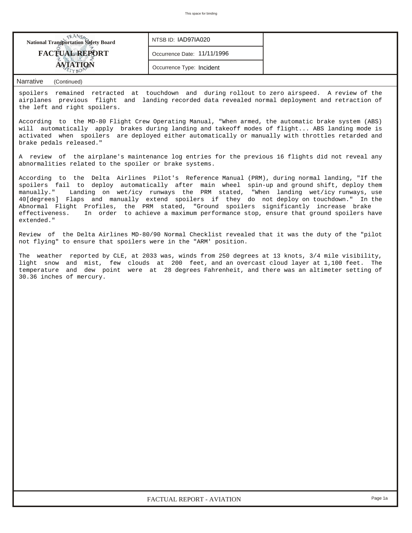| <b>National Transportation Safety Board</b> | NTSB ID: IAD97IA020         |  |
|---------------------------------------------|-----------------------------|--|
| <b>FACTUAL REPORT</b>                       | Occurrence Date: 11/11/1996 |  |
|                                             | Occurrence Type: Incident   |  |

*Narrative (Continued)*

spoilers remained retracted at touchdown and during rollout to zero airspeed. A review of the airplanes previous flight and landing recorded data revealed normal deployment and retraction of the left and right spoilers.

According to the MD-80 Flight Crew Operating Manual, "When armed, the automatic brake system (ABS) will automatically apply brakes during landing and takeoff modes of flight... ABS landing mode is activated when spoilers are deployed either automatically or manually with throttles retarded and brake pedals released."

A review of the airplane's maintenance log entries for the previous 16 flights did not reveal any abnormalities related to the spoiler or brake systems.

According to the Delta Airlines Pilot's Reference Manual (PRM), during normal landing, "If the spoilers fail to deploy automatically after main wheel spin-up and ground shift, deploy them manually." Landing on wet/icy runways the PRM stated, "When landing wet/icy runways, use 40[degrees] Flaps and manually extend spoilers if they do not deploy on touchdown." In the Abnormal Flight Profiles, the PRM stated, "Ground spoilers significantly increase brake effectiveness. In order to achieve a maximum performance stop, ensure that ground spoilers have extended."

Review of the Delta Airlines MD-80/90 Normal Checklist revealed that it was the duty of the "pilot not flying" to ensure that spoilers were in the "ARM' position.

The weather reported by CLE, at 2033 was, winds from 250 degrees at 13 knots, 3/4 mile visibility, light snow and mist, few clouds at 200 feet, and an overcast cloud layer at 1,100 feet. The temperature and dew point were at 28 degrees Fahrenheit, and there was an altimeter setting of 30.36 inches of mercury.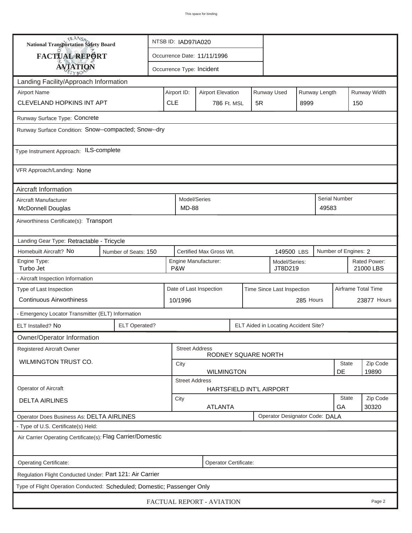| <b>National Transportation Safety Board</b>                                      |                                                                                       |                                                          | NTSB ID: IAD97IA020       |                        |                            |           |                          |      |                     |                           |                   |  |
|----------------------------------------------------------------------------------|---------------------------------------------------------------------------------------|----------------------------------------------------------|---------------------------|------------------------|----------------------------|-----------|--------------------------|------|---------------------|---------------------------|-------------------|--|
| <b>FACTUAL REPORT</b>                                                            |                                                                                       | Occurrence Date: 11/11/1996                              |                           |                        |                            |           |                          |      |                     |                           |                   |  |
| <b>AVIATION</b>                                                                  |                                                                                       |                                                          | Occurrence Type: Incident |                        |                            |           |                          |      |                     |                           |                   |  |
| Landing Facility/Approach Information                                            |                                                                                       |                                                          |                           |                        |                            |           |                          |      |                     |                           |                   |  |
| <b>Airport Name</b>                                                              | Airport ID:                                                                           | Runway Used<br>Runway Length<br><b>Airport Elevation</b> |                           |                        |                            |           |                          |      | Runway Width        |                           |                   |  |
| <b>CLEVELAND HOPKINS INT APT</b>                                                 |                                                                                       |                                                          | <b>CLE</b>                | 786 Ft. MSL            |                            | 5R        |                          | 8999 |                     |                           | 150               |  |
| Runway Surface Type: Concrete                                                    |                                                                                       |                                                          |                           |                        |                            |           |                          |      |                     |                           |                   |  |
| Runway Surface Condition: Snow--compacted; Snow--dry                             |                                                                                       |                                                          |                           |                        |                            |           |                          |      |                     |                           |                   |  |
| Type Instrument Approach: ILS-complete                                           |                                                                                       |                                                          |                           |                        |                            |           |                          |      |                     |                           |                   |  |
| VFR Approach/Landing: None                                                       |                                                                                       |                                                          |                           |                        |                            |           |                          |      |                     |                           |                   |  |
| Aircraft Information                                                             |                                                                                       |                                                          |                           |                        |                            |           |                          |      |                     |                           |                   |  |
| Aircraft Manufacturer<br><b>McDonnell Douglas</b>                                |                                                                                       |                                                          | <b>MD-88</b>              | Model/Series           |                            |           |                          |      | 49583               | Serial Number             |                   |  |
| Airworthiness Certificate(s): Transport                                          |                                                                                       |                                                          |                           |                        |                            |           |                          |      |                     |                           |                   |  |
| Landing Gear Type: Retractable - Tricycle                                        |                                                                                       |                                                          |                           |                        |                            |           |                          |      |                     |                           |                   |  |
| Homebuilt Aircraft? No                                                           | Certified Max Gross Wt.<br>Number of Engines: 2<br>Number of Seats: 150<br>149500 LBS |                                                          |                           |                        |                            |           |                          |      |                     |                           |                   |  |
| Engine Type:<br>Turbo Jet<br>P&W                                                 |                                                                                       |                                                          |                           | Engine Manufacturer:   |                            |           | Model/Series:<br>JT8D219 |      |                     | Rated Power:<br>21000 LBS |                   |  |
| - Aircraft Inspection Information                                                |                                                                                       |                                                          |                           |                        |                            |           |                          |      |                     |                           |                   |  |
| Type of Last Inspection                                                          |                                                                                       | Date of Last Inspection                                  |                           |                        | Time Since Last Inspection |           |                          |      | Airframe Total Time |                           |                   |  |
| <b>Continuous Airworthiness</b>                                                  | 10/1996                                                                               |                                                          |                           |                        |                            | 285 Hours |                          |      | 23877 Hours         |                           |                   |  |
| - Emergency Locator Transmitter (ELT) Information                                |                                                                                       |                                                          |                           |                        |                            |           |                          |      |                     |                           |                   |  |
| ELT Installed? No                                                                | <b>ELT Operated?</b><br>ELT Aided in Locating Accident Site?                          |                                                          |                           |                        |                            |           |                          |      |                     |                           |                   |  |
| Owner/Operator Information                                                       |                                                                                       |                                                          |                           |                        |                            |           |                          |      |                     |                           |                   |  |
| <b>Registered Aircraft Owner</b>                                                 |                                                                                       |                                                          | <b>Street Address</b>     | RODNEY SQUARE NORTH    |                            |           |                          |      |                     |                           |                   |  |
| WILMINGTON TRUST CO.                                                             |                                                                                       |                                                          | <b>State</b><br>City      |                        |                            |           |                          |      |                     | Zip Code                  |                   |  |
| DE<br>19890<br><b>WILMINGTON</b>                                                 |                                                                                       |                                                          |                           |                        |                            |           |                          |      |                     |                           |                   |  |
| <b>Street Address</b><br><b>Operator of Aircraft</b><br>HARTSFIELD INT'L AIRPORT |                                                                                       |                                                          |                           |                        |                            |           |                          |      |                     |                           |                   |  |
| <b>DELTA AIRLINES</b>                                                            |                                                                                       |                                                          |                           | City<br><b>ATLANTA</b> |                            |           |                          |      |                     | <b>State</b><br>GA        | Zip Code<br>30320 |  |
| Operator Designator Code: DALA<br>Operator Does Business As: DELTA AIRLINES      |                                                                                       |                                                          |                           |                        |                            |           |                          |      |                     |                           |                   |  |
| - Type of U.S. Certificate(s) Held:                                              |                                                                                       |                                                          |                           |                        |                            |           |                          |      |                     |                           |                   |  |
| Air Carrier Operating Certificate(s): Flag Carrier/Domestic                      |                                                                                       |                                                          |                           |                        |                            |           |                          |      |                     |                           |                   |  |
| Operating Certificate:<br>Operator Certificate:                                  |                                                                                       |                                                          |                           |                        |                            |           |                          |      |                     |                           |                   |  |
| Regulation Flight Conducted Under: Part 121: Air Carrier                         |                                                                                       |                                                          |                           |                        |                            |           |                          |      |                     |                           |                   |  |
| Type of Flight Operation Conducted: Scheduled; Domestic; Passenger Only          |                                                                                       |                                                          |                           |                        |                            |           |                          |      |                     |                           |                   |  |
| FACTUAL REPORT - AVIATION<br>Page 2                                              |                                                                                       |                                                          |                           |                        |                            |           |                          |      |                     |                           |                   |  |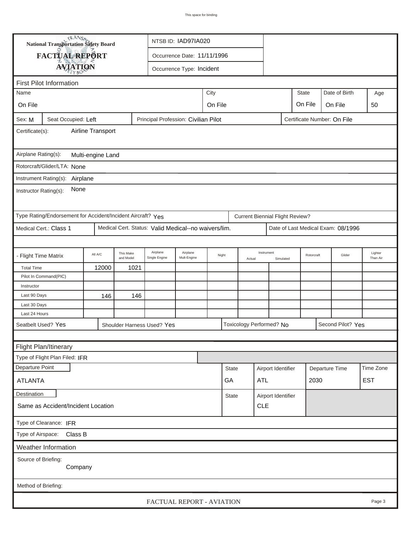| <b>National Transportation Safety Board</b><br>NTSB ID: IAD97IA020           |                                                                                            |         |                        |                                                      |                                            |              |            |                    |                                        |                   |              |                     |                                    |     |
|------------------------------------------------------------------------------|--------------------------------------------------------------------------------------------|---------|------------------------|------------------------------------------------------|--------------------------------------------|--------------|------------|--------------------|----------------------------------------|-------------------|--------------|---------------------|------------------------------------|-----|
|                                                                              | FACTUAL REPORT                                                                             |         |                        |                                                      | Occurrence Date: 11/11/1996                |              |            |                    |                                        |                   |              |                     |                                    |     |
|                                                                              |                                                                                            |         |                        |                                                      |                                            |              |            |                    |                                        |                   |              |                     |                                    |     |
| <b>AVIATION</b><br>Occurrence Type: Incident                                 |                                                                                            |         |                        |                                                      |                                            |              |            |                    |                                        |                   |              |                     |                                    |     |
|                                                                              | <b>First Pilot Information</b>                                                             |         |                        |                                                      |                                            |              |            |                    |                                        |                   |              |                     |                                    |     |
| Name                                                                         |                                                                                            |         |                        |                                                      |                                            | City         |            |                    |                                        |                   | <b>State</b> |                     | Date of Birth                      | Age |
| On File                                                                      |                                                                                            |         |                        |                                                      | On File                                    |              |            |                    |                                        |                   | On File      |                     | On File                            | 50  |
| Sex: M                                                                       | Seat Occupied: Left<br>Principal Profession: Civilian Pilot<br>Certificate Number: On File |         |                        |                                                      |                                            |              |            |                    |                                        |                   |              |                     |                                    |     |
| Airline Transport<br>Certificate(s):                                         |                                                                                            |         |                        |                                                      |                                            |              |            |                    |                                        |                   |              |                     |                                    |     |
|                                                                              | Airplane Rating(s):<br>Multi-engine Land                                                   |         |                        |                                                      |                                            |              |            |                    |                                        |                   |              |                     |                                    |     |
| Rotorcraft/Glider/LTA: None                                                  |                                                                                            |         |                        |                                                      |                                            |              |            |                    |                                        |                   |              |                     |                                    |     |
| Instrument Rating(s):<br>Airplane                                            |                                                                                            |         |                        |                                                      |                                            |              |            |                    |                                        |                   |              |                     |                                    |     |
| None<br>Instructor Rating(s):                                                |                                                                                            |         |                        |                                                      |                                            |              |            |                    |                                        |                   |              |                     |                                    |     |
|                                                                              | Type Rating/Endorsement for Accident/Incident Aircraft? Yes                                |         |                        |                                                      |                                            |              |            |                    | <b>Current Biennial Flight Review?</b> |                   |              |                     |                                    |     |
|                                                                              | Medical Cert.: Class 1                                                                     |         |                        | Medical Cert. Status: Valid Medical--no waivers/lim. |                                            |              |            |                    |                                        |                   |              |                     | Date of Last Medical Exam: 08/1996 |     |
|                                                                              |                                                                                            |         |                        |                                                      |                                            |              |            |                    |                                        |                   |              |                     |                                    |     |
| - Flight Time Matrix                                                         |                                                                                            | All A/C | This Make<br>and Model | Airplane<br>Single Engine                            | Airplane<br>Night<br>Mult-Engine<br>Actual |              | Instrument | Simulated          | Rotorcraft                             |                   | Glider       | Lighter<br>Than Air |                                    |     |
| <b>Total Time</b>                                                            |                                                                                            | 12000   | 1021                   |                                                      |                                            |              |            |                    |                                        |                   |              |                     |                                    |     |
|                                                                              | Pilot In Command(PIC)                                                                      |         |                        |                                                      |                                            |              |            |                    |                                        |                   |              |                     |                                    |     |
| Instructor                                                                   |                                                                                            |         |                        |                                                      |                                            |              |            |                    |                                        |                   |              |                     |                                    |     |
| Last 90 Days                                                                 |                                                                                            | 146     | 146                    |                                                      |                                            |              |            |                    |                                        |                   |              |                     |                                    |     |
| Last 30 Days                                                                 |                                                                                            |         |                        |                                                      |                                            |              |            |                    |                                        |                   |              |                     |                                    |     |
| Last 24 Hours                                                                |                                                                                            |         |                        |                                                      |                                            |              |            |                    |                                        |                   |              |                     |                                    |     |
| Seatbelt Used? Yes<br>Toxicology Performed? No<br>Shoulder Harness Used? Yes |                                                                                            |         |                        |                                                      |                                            |              |            |                    |                                        | Second Pilot? Yes |              |                     |                                    |     |
|                                                                              |                                                                                            |         |                        |                                                      |                                            |              |            |                    |                                        |                   |              |                     |                                    |     |
| Flight Plan/Itinerary                                                        |                                                                                            |         |                        |                                                      |                                            |              |            |                    |                                        |                   |              |                     |                                    |     |
|                                                                              | Type of Flight Plan Filed: IFR                                                             |         |                        |                                                      |                                            |              |            |                    |                                        |                   |              |                     |                                    |     |
| Departure Point                                                              |                                                                                            |         |                        |                                                      |                                            | <b>State</b> |            | Airport Identifier |                                        | Departure Time    |              | Time Zone           |                                    |     |
| <b>ATLANTA</b>                                                               |                                                                                            |         |                        |                                                      |                                            | GA           |            | ATL                |                                        |                   | 2030         |                     | <b>EST</b>                         |     |
| Destination<br><b>State</b><br>Airport Identifier                            |                                                                                            |         |                        |                                                      |                                            |              |            |                    |                                        |                   |              |                     |                                    |     |
| <b>CLE</b><br>Same as Accident/Incident Location                             |                                                                                            |         |                        |                                                      |                                            |              |            |                    |                                        |                   |              |                     |                                    |     |
| Type of Clearance: IFR                                                       |                                                                                            |         |                        |                                                      |                                            |              |            |                    |                                        |                   |              |                     |                                    |     |
| Type of Airspace: Class B                                                    |                                                                                            |         |                        |                                                      |                                            |              |            |                    |                                        |                   |              |                     |                                    |     |
|                                                                              | Weather Information                                                                        |         |                        |                                                      |                                            |              |            |                    |                                        |                   |              |                     |                                    |     |
| Source of Briefing:<br>Company                                               |                                                                                            |         |                        |                                                      |                                            |              |            |                    |                                        |                   |              |                     |                                    |     |
| Method of Briefing:                                                          |                                                                                            |         |                        |                                                      |                                            |              |            |                    |                                        |                   |              |                     |                                    |     |
| FACTUAL REPORT - AVIATION<br>Page 3                                          |                                                                                            |         |                        |                                                      |                                            |              |            |                    |                                        |                   |              |                     |                                    |     |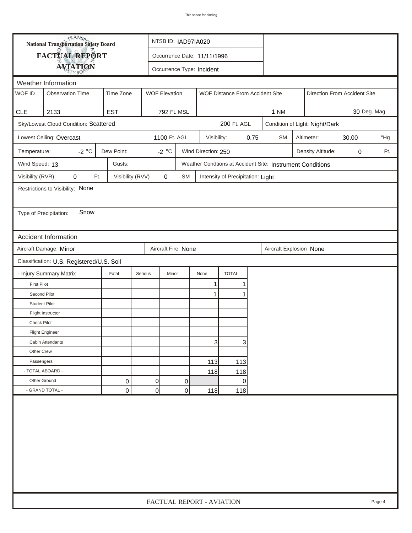| <b>National Transportation Safety Board</b><br>FACTUAL REPORT<br>Occurrence Date: 11/11/1996<br><b>AVIATION</b><br>Occurrence Type: Incident<br>Weather Information<br>WOF ID<br><b>WOF Elevation</b><br><b>Observation Time</b><br>Time Zone<br>WOF Distance From Accident Site<br>Direction From Accident Site<br><b>CLE</b><br>2133<br><b>EST</b><br>792 Ft. MSL<br>1 NM<br>30 Deg. Mag.<br>Sky/Lowest Cloud Condition: Scattered<br>200 Ft. AGL<br>Condition of Light: Night/Dark<br>Lowest Ceiling: Overcast<br>1100 Ft. AGL<br>0.75<br><b>SM</b><br>Altimeter:<br>30.00<br>Visibility:<br>-2 $^{\circ}$ C<br>Dew Point:<br>-2 $^{\circ}$ C<br>Wind Direction: 250<br>Temperature:<br>Density Altitude:<br>0<br>Wind Speed: 13<br>Gusts:<br>Weather Condtions at Accident Site: Instrument Conditions<br>Visibility (RVR):<br>Visibility (RVV)<br>$\pmb{0}$<br>0<br>Ft.<br>SM<br>Intensity of Precipitation: Light<br>Restrictions to Visibility: None<br>Snow<br>Type of Precipitation:<br><b>Accident Information</b><br>Aircraft Damage: Minor<br>Aircraft Fire: None<br>Aircraft Explosion None<br>Classification: U.S. Registered/U.S. Soil<br><b>TOTAL</b><br>- Injury Summary Matrix<br>Fatal<br>Serious<br>Minor<br>None<br><b>First Pilot</b><br>1<br>Second Pilot<br>$\mathbf 1$<br><b>Student Pilot</b> | "Hg<br>Ft. |
|-------------------------------------------------------------------------------------------------------------------------------------------------------------------------------------------------------------------------------------------------------------------------------------------------------------------------------------------------------------------------------------------------------------------------------------------------------------------------------------------------------------------------------------------------------------------------------------------------------------------------------------------------------------------------------------------------------------------------------------------------------------------------------------------------------------------------------------------------------------------------------------------------------------------------------------------------------------------------------------------------------------------------------------------------------------------------------------------------------------------------------------------------------------------------------------------------------------------------------------------------------------------------------------------------------------------------|------------|
|                                                                                                                                                                                                                                                                                                                                                                                                                                                                                                                                                                                                                                                                                                                                                                                                                                                                                                                                                                                                                                                                                                                                                                                                                                                                                                                         |            |
|                                                                                                                                                                                                                                                                                                                                                                                                                                                                                                                                                                                                                                                                                                                                                                                                                                                                                                                                                                                                                                                                                                                                                                                                                                                                                                                         |            |
|                                                                                                                                                                                                                                                                                                                                                                                                                                                                                                                                                                                                                                                                                                                                                                                                                                                                                                                                                                                                                                                                                                                                                                                                                                                                                                                         |            |
|                                                                                                                                                                                                                                                                                                                                                                                                                                                                                                                                                                                                                                                                                                                                                                                                                                                                                                                                                                                                                                                                                                                                                                                                                                                                                                                         |            |
|                                                                                                                                                                                                                                                                                                                                                                                                                                                                                                                                                                                                                                                                                                                                                                                                                                                                                                                                                                                                                                                                                                                                                                                                                                                                                                                         |            |
|                                                                                                                                                                                                                                                                                                                                                                                                                                                                                                                                                                                                                                                                                                                                                                                                                                                                                                                                                                                                                                                                                                                                                                                                                                                                                                                         |            |
|                                                                                                                                                                                                                                                                                                                                                                                                                                                                                                                                                                                                                                                                                                                                                                                                                                                                                                                                                                                                                                                                                                                                                                                                                                                                                                                         |            |
|                                                                                                                                                                                                                                                                                                                                                                                                                                                                                                                                                                                                                                                                                                                                                                                                                                                                                                                                                                                                                                                                                                                                                                                                                                                                                                                         |            |
|                                                                                                                                                                                                                                                                                                                                                                                                                                                                                                                                                                                                                                                                                                                                                                                                                                                                                                                                                                                                                                                                                                                                                                                                                                                                                                                         |            |
|                                                                                                                                                                                                                                                                                                                                                                                                                                                                                                                                                                                                                                                                                                                                                                                                                                                                                                                                                                                                                                                                                                                                                                                                                                                                                                                         |            |
|                                                                                                                                                                                                                                                                                                                                                                                                                                                                                                                                                                                                                                                                                                                                                                                                                                                                                                                                                                                                                                                                                                                                                                                                                                                                                                                         |            |
|                                                                                                                                                                                                                                                                                                                                                                                                                                                                                                                                                                                                                                                                                                                                                                                                                                                                                                                                                                                                                                                                                                                                                                                                                                                                                                                         |            |
|                                                                                                                                                                                                                                                                                                                                                                                                                                                                                                                                                                                                                                                                                                                                                                                                                                                                                                                                                                                                                                                                                                                                                                                                                                                                                                                         |            |
|                                                                                                                                                                                                                                                                                                                                                                                                                                                                                                                                                                                                                                                                                                                                                                                                                                                                                                                                                                                                                                                                                                                                                                                                                                                                                                                         |            |
|                                                                                                                                                                                                                                                                                                                                                                                                                                                                                                                                                                                                                                                                                                                                                                                                                                                                                                                                                                                                                                                                                                                                                                                                                                                                                                                         |            |
|                                                                                                                                                                                                                                                                                                                                                                                                                                                                                                                                                                                                                                                                                                                                                                                                                                                                                                                                                                                                                                                                                                                                                                                                                                                                                                                         |            |
|                                                                                                                                                                                                                                                                                                                                                                                                                                                                                                                                                                                                                                                                                                                                                                                                                                                                                                                                                                                                                                                                                                                                                                                                                                                                                                                         |            |
|                                                                                                                                                                                                                                                                                                                                                                                                                                                                                                                                                                                                                                                                                                                                                                                                                                                                                                                                                                                                                                                                                                                                                                                                                                                                                                                         |            |
|                                                                                                                                                                                                                                                                                                                                                                                                                                                                                                                                                                                                                                                                                                                                                                                                                                                                                                                                                                                                                                                                                                                                                                                                                                                                                                                         |            |
|                                                                                                                                                                                                                                                                                                                                                                                                                                                                                                                                                                                                                                                                                                                                                                                                                                                                                                                                                                                                                                                                                                                                                                                                                                                                                                                         |            |
|                                                                                                                                                                                                                                                                                                                                                                                                                                                                                                                                                                                                                                                                                                                                                                                                                                                                                                                                                                                                                                                                                                                                                                                                                                                                                                                         |            |
|                                                                                                                                                                                                                                                                                                                                                                                                                                                                                                                                                                                                                                                                                                                                                                                                                                                                                                                                                                                                                                                                                                                                                                                                                                                                                                                         |            |
| Flight Instructor                                                                                                                                                                                                                                                                                                                                                                                                                                                                                                                                                                                                                                                                                                                                                                                                                                                                                                                                                                                                                                                                                                                                                                                                                                                                                                       |            |
| <b>Check Pilot</b>                                                                                                                                                                                                                                                                                                                                                                                                                                                                                                                                                                                                                                                                                                                                                                                                                                                                                                                                                                                                                                                                                                                                                                                                                                                                                                      |            |
| <b>Flight Engineer</b>                                                                                                                                                                                                                                                                                                                                                                                                                                                                                                                                                                                                                                                                                                                                                                                                                                                                                                                                                                                                                                                                                                                                                                                                                                                                                                  |            |
| $\mathbf{3}$<br>3<br>Cabin Attendants                                                                                                                                                                                                                                                                                                                                                                                                                                                                                                                                                                                                                                                                                                                                                                                                                                                                                                                                                                                                                                                                                                                                                                                                                                                                                   |            |
| Other Crew                                                                                                                                                                                                                                                                                                                                                                                                                                                                                                                                                                                                                                                                                                                                                                                                                                                                                                                                                                                                                                                                                                                                                                                                                                                                                                              |            |
| Passengers<br>113<br>113                                                                                                                                                                                                                                                                                                                                                                                                                                                                                                                                                                                                                                                                                                                                                                                                                                                                                                                                                                                                                                                                                                                                                                                                                                                                                                |            |
| - TOTAL ABOARD -<br>118<br>118                                                                                                                                                                                                                                                                                                                                                                                                                                                                                                                                                                                                                                                                                                                                                                                                                                                                                                                                                                                                                                                                                                                                                                                                                                                                                          |            |
| Other Ground<br>0<br>0<br>0<br>0                                                                                                                                                                                                                                                                                                                                                                                                                                                                                                                                                                                                                                                                                                                                                                                                                                                                                                                                                                                                                                                                                                                                                                                                                                                                                        |            |
| - GRAND TOTAL -<br>$\overline{0}$<br>0<br>0<br>118<br>118                                                                                                                                                                                                                                                                                                                                                                                                                                                                                                                                                                                                                                                                                                                                                                                                                                                                                                                                                                                                                                                                                                                                                                                                                                                               |            |